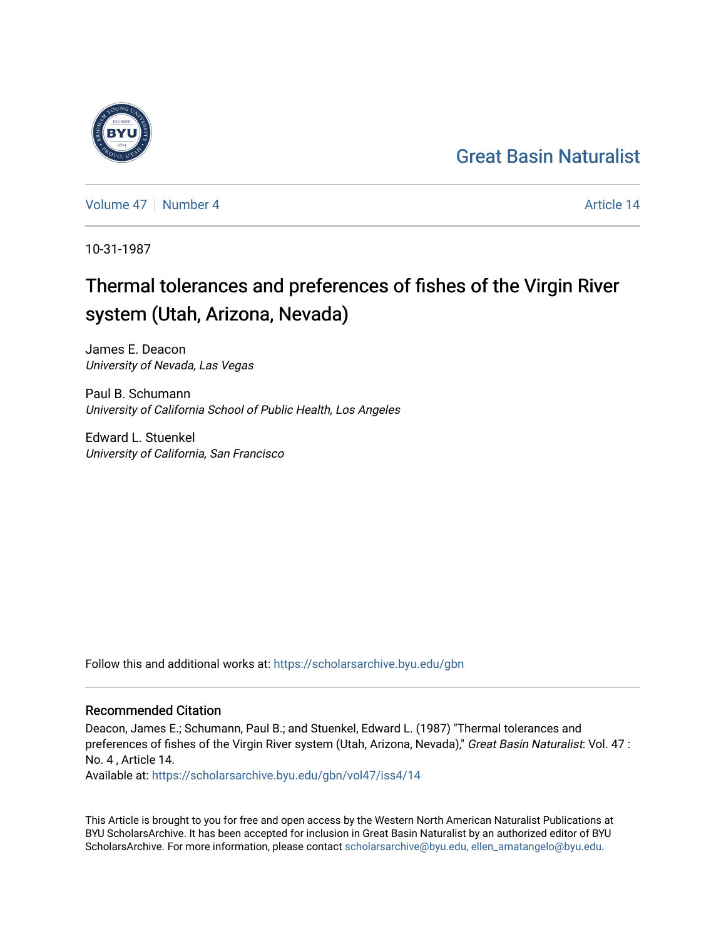## [Great Basin Naturalist](https://scholarsarchive.byu.edu/gbn)

[Volume 47](https://scholarsarchive.byu.edu/gbn/vol47) | [Number 4](https://scholarsarchive.byu.edu/gbn/vol47/iss4) Article 14

10-31-1987

# Thermal tolerances and preferences of fishes of the Virgin River system (Utah, Arizona, Nevada)

James E. Deacon University of Nevada, Las Vegas

Paul B. Schumann University of California School of Public Health, Los Angeles

Edward L. Stuenkel University of California, San Francisco

Follow this and additional works at: [https://scholarsarchive.byu.edu/gbn](https://scholarsarchive.byu.edu/gbn?utm_source=scholarsarchive.byu.edu%2Fgbn%2Fvol47%2Fiss4%2F14&utm_medium=PDF&utm_campaign=PDFCoverPages) 

## Recommended Citation

Deacon, James E.; Schumann, Paul B.; and Stuenkel, Edward L. (1987) "Thermal tolerances and preferences of fishes of the Virgin River system (Utah, Arizona, Nevada)," Great Basin Naturalist: Vol. 47 : No. 4 , Article 14.

Available at: [https://scholarsarchive.byu.edu/gbn/vol47/iss4/14](https://scholarsarchive.byu.edu/gbn/vol47/iss4/14?utm_source=scholarsarchive.byu.edu%2Fgbn%2Fvol47%2Fiss4%2F14&utm_medium=PDF&utm_campaign=PDFCoverPages) 

This Article is brought to you for free and open access by the Western North American Naturalist Publications at BYU ScholarsArchive. It has been accepted for inclusion in Great Basin Naturalist by an authorized editor of BYU ScholarsArchive. For more information, please contact [scholarsarchive@byu.edu, ellen\\_amatangelo@byu.edu.](mailto:scholarsarchive@byu.edu,%20ellen_amatangelo@byu.edu)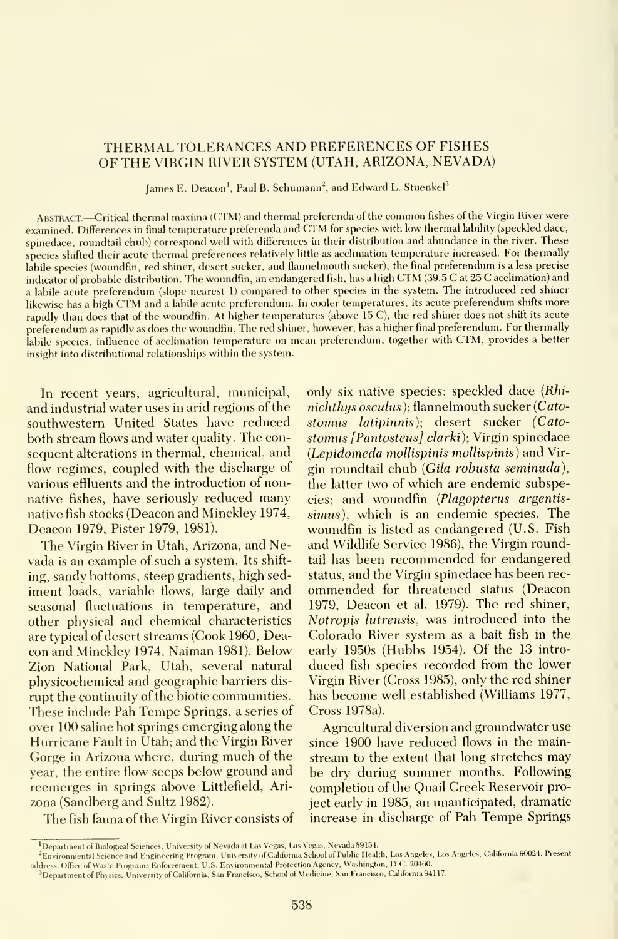## THERMAL TOLERANCES AND PREFERENCES OF FISHES OF THE VIRGIN RIVER SYSTEM (UTAH, ARIZONA, NEVADA)

James E. Deacon<sup>1</sup>, Paul B. Schumann<sup>2</sup>, and Edward L. Stuenkel<sup>3</sup>

Abstract —Critical thermal maxima (CTM) and thermal preferenda of the common fishes of the Virgin River were examined. Differences in final temperature preferenda and CTM for species with low thermal lability (speckled dace, spinedace, roundtail chub) correspond well with differences in their distribution and abundance in the river. These species shifted their acute thermal preferences relatively little as acclimation temperature increased. For thermally labile species (woundfin, red shiner, desert sucker, and flannelmouth sucker), the final preferendum is a less precise indicator of probable distribution. The woundfin, an endangered fish, has <sup>a</sup> high CTM (39.5 C at <sup>25</sup> C acclimation) and <sup>a</sup> labile acute preferendum (slope nearest 1) compared to other species in the system. The introduced red shiner likewise has <sup>a</sup> high CTM and <sup>a</sup> labile acute preferendum. In cooler temperatures, its acute preferendum shifts more rapidly than does that of the woundfin. At higher temperatures (above 15 C), the red shiner does not shift its acute preferendum as rapidly as does the woundfin. The red shiner, however, has <sup>a</sup> higher final preferendum. For thermally labile species, influence of acclimation temperature on mean preferendum, together with CTM, provides <sup>a</sup> better insight into distributional relationships within the system.

In recent years, agricultural, municipal, and industrial water uses in arid regions of the southwestern United States have reduced both stream flows and water quality. The con sequent alterations in thermal, chemical, and flow regimes, coupled with the discharge of various effluents and the introduction of nonnative fishes, have seriously reduced many native fish stocks (Deacon and Minckley 1974, Deacon 1979, Pister 1979, 1981).

The Virgin River in Utah, Arizona, and Nevada is an example of such a system. Its shifting, sandy bottoms, steep gradients, high sed iment loads, variable flows, large daily and seasonal fluctuations in temperature, and other physical and chemical characteristics are typical of desert streams (Cook 1960, Deacon and Minckley 1974, Naiman 1981). Below Zion National Park, Utah, several natural physicochemical and geographic barriers dis rupt the continuity of the biotic communities. These include Pah Tempe Springs, <sup>a</sup> series of over 100 saline hot springs emerging along the Hurricane Fault in Utah; and the Virgin River Gorge in Arizona where, during much of the year, the entire flow seeps below ground and reemerges in springs above Littlefield, Ari zona (Sandberg and Sultz 1982).

only six native species: speckled dace (Rhinichthys osculus); flannelmouth sucker {Catostomus latipinnis); desert sucker (Catostomus [Pantosteus] clarki); Virgin spinedace (Lepidomeda mollispinis mollispinis) and Virgin roundtail chub (Gila robusta seminuda), the latter two of which are endemic subspecies; and woundfin {Plagopterus argentissimus), which is an endemic species. The woundfin is listed as endangered (U.S. Fish and Wildlife Service 1986), the Virgin roundtail has been recommended for endangered status, and the Virgin spinedace has been rec ommended for threatened status (Deacon 1979, Deacon et al. 1979). The red shiner, Notropis lutrensis, was introduced into the Colorado River system as a bait fish in the early 1950s (Hubbs 1954). Of the 13 intro duced fish species recorded from the lower Virgin River (Cross 1985), only the red shiner has become well established (Williams 1977, Cross 1978a).

Agricultural diversion and groundwater use since 1900 have reduced flows in the mainstream to the extent that long stretches may be dry during summer months. Following completion of the Quail Creek Reservoir project early in 1985, an unanticipated, dramatic increase in discharge of Pah Tempe Springs

The fish fauna of the Virgin River consists of

<sup>&#</sup>x27;Department of Biological Sciences, University of Nevada at Las Vegas, Las Vegas, Nevada 89154.

<sup>^</sup>Environmental Science and Engineering Program, University of California School of Public Health, Los Angeles, Los Angeles, California 90024. Present address: Office of Waste Programs Enforcement, U.S. Environmental Protection Agency, Washington, DC, 20460.

<sup>&</sup>lt;sup>3</sup>Department of Physics, University of California, San Francisco, School of Medicine, San Francisco, California 94117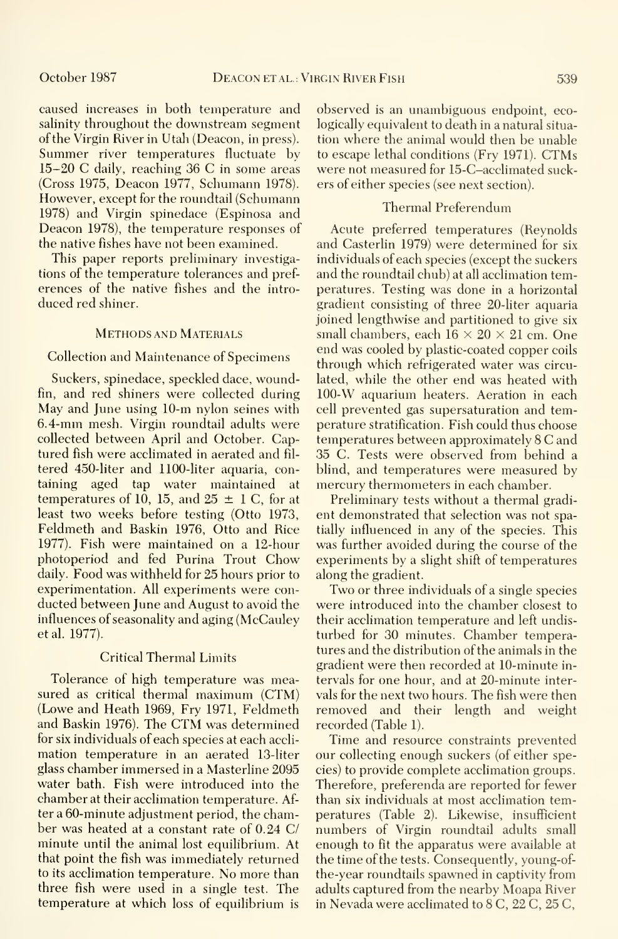caused increases in both temperature and salinity throughout the downstream segment of the Virgin River in Utah (Deacon, in press). Summer river temperatures fluctuate by 15-20 C daily, reaching 36 C in some areas (Cross 1975, Deacon 1977, Schumann 1978). However, except for the roundtail (Schumann 1978) and Virgin spinedace (Espinosa and Deacon 1978), the temperature responses of the native fishes have not been examined.

This paper reports preliminary investigations of the temperature tolerances and pref erences of the native fishes and the intro duced red shiner.

#### Methods and Materials

#### Collection and Maintenance of Specimens

Suckers, spinedace, speckled dace, woundfin, and red shiners were collected during May and June using 10-m nylon seines with 6.4-mm mesh. Virgin roundtail adults were collected between April and October. Captured fish were acclimated in aerated and fil tered 450-liter and 1100-liter aquaria, containing aged tap water maintained at temperatures of 10, 15, and  $25 \pm 1$  C, for at least two weeks before testing (Otto 1973, Feldmeth and Baskin 1976, Otto and Rice 1977). Fish were maintained on a 12-hour photoperiod and fed Purina Trout Chow daily. Food was withheld for 25 hours prior to experimentation. All experiments were con ducted between June and August to avoid the influences of seasonality and aging (McCauley et al. 1977).

#### Critical Thermal Limits

Tolerance of high temperature was measured as critical thermal maximum (CTM) (Lowe and Heath 1969, Fry 1971, Feldmeth and Baskin 1976). The CTM was determined for six individuals of each species at each accli mation temperature in an aerated 13-liter glass chamber immersed in a Masterline 2095 water bath. Fish were introduced into the chamber at their acclimation temperature. After a 60-minute adjustment period, the chamber was heated at a constant rate of 0.24 C/ minute until the animal lost equilibrium. At that point the fish was immediately returned to its acclimation temperature. No more than three fish were used in a single test. The temperature at which loss of equilibrium is observed is an unambiguous endpoint, ecologically equivalent to death in a natural situa tion where the animal would then be unable to escape lethal conditions (Fry 1971). CTMs were not measured for 15-C-acclimated suckers of either species (see next section).

#### Thermal Preferendum

Acute preferred temperatures (Reynolds and Casterlin 1979) were determined for six individuals of each species (except the suckers and the roundtail chub) at all acclimation temperatures. Testing was done in a horizontal gradient consisting of three 20-liter aquaria joined lengthwise and partitioned to give six small chambers, each  $16 \times 20 \times 21$  cm. One end was cooled by plastic-coated copper coils through which refrigerated water was circulated, while the other end was heated with 100-W aquarium heaters. Aeration in each cell prevented gas supersaturation and temperature stratification. Fish could thus choose temperatures between approximately <sup>8</sup> C and 35 C. Tests were observed from behind a blind, and temperatures were measured by mercury thermometers in each chamber.

Preliminary tests without a thermal gradi ent demonstrated that selection was not spatially influenced in any of the species. This was further avoided during the course of the experiments by a slight shift of temperatures along the gradient.

Two or three individuals of <sup>a</sup> single species were introduced into the chamber closest to their acclimation temperature and left undisturbed for 30 minutes. Chamber temperatures and the distribution of the animals in the gradient were then recorded at 10-minute in tervals for one hour, and at 20-minute intervals for the next two hours. The fish were then removed and their length and weight recorded (Table 1).

Time and resource constraints prevented our collecting enough suckers (of either species) to provide complete acclimation groups. Therefore, preferenda are reported for fewer than six individuals at most acclimation temperatures (Table 2). Likewise, insufficient numbers of Virgin roundtail adults small enough to fit the apparatus were available at the time of the tests. Consequently, young-ofthe-year roundtails spawned in captivity from adults captured from the nearby Moapa River in Nevada were acclimated to 8 C, 22 C, 25 C,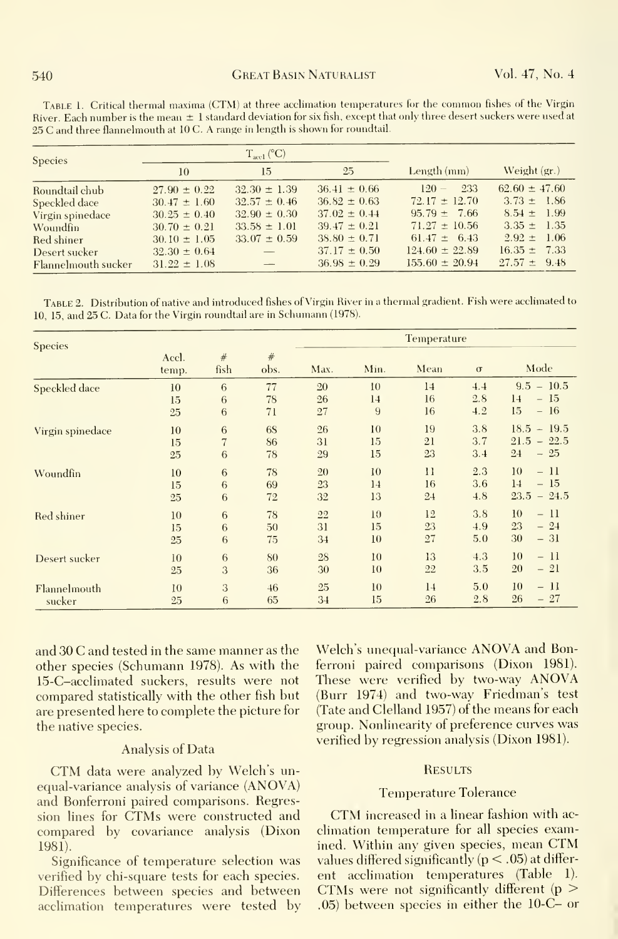| <b>Species</b>      |                  | $T_{\rm acel}$ (°C)      |                  |                    |                   |  |
|---------------------|------------------|--------------------------|------------------|--------------------|-------------------|--|
|                     | 10               | 15                       | 25               | Length $(mm)$      | Weight $(g_r)$    |  |
| Roundtail chub      | $27.90 \pm 0.22$ | $32.30 \pm 1.39$         | $36.41 \pm 0.66$ | 233<br>$120 -$     | $62.60 \pm 47.60$ |  |
| Speckled dace       | $30.47 \pm 1.60$ | $32.57 \pm 0.46$         | $36.82 \pm 0.63$ | $72.17 \pm 12.70$  | $3.73 \pm 1.86$   |  |
| Virgin spinedace    | $30.25 \pm 0.40$ | $32.90 \pm 0.30$         | $37.02 \pm 0.44$ | $95.79 \pm 7.66$   | $8.54 \pm 1.99$   |  |
| Woundfin            | $30.70 \pm 0.21$ | $33.58 \pm 1.01$         | $39.47 \pm 0.21$ | $71.27 \pm 10.56$  | $3.35 \pm 1.35$   |  |
| Red shiner          | $30.10 \pm 1.05$ | $33.07 \pm 0.59$         | $38.80 \pm 0.71$ | $61.47 \pm 6.43$   | $2.92 \pm 1.06$   |  |
| Desert sucker       | $32.30 \pm 0.64$ |                          | $37.17 \pm 0.50$ | $124.60 \pm 22.89$ | $16.35 \pm 7.33$  |  |
| Flannelmouth sucker | $31.22 \pm 1.08$ | $\overline{\phantom{a}}$ | $36.98 \pm 0.29$ | $155.60 \pm 20.94$ | $27.57 \pm 9.48$  |  |

TABLE 1. Critical thermal maxima (CTM) at three acclimation temperatures for the common fishes of the Virgin River. Each number is the mean  $\pm 1$  standard deviation for six fish, except that only three desert suckers were used at 25 C and three flannelmouth at <sup>10</sup> C. A range in length is shown for roundtail.

TABLE 2. Distribution of native and introduced fishes of Virgin River in a thermal gradient. Fish were acclimated to 10, 15, and 25 C. Data for the Virgin roundtail are in Schumann (1978).

| <b>Species</b>   |                |                 |           | Temperature |      |         |          |               |
|------------------|----------------|-----------------|-----------|-------------|------|---------|----------|---------------|
|                  | Accl.<br>temp. | #<br>fish       | #<br>obs. | Max.        | Min. | Mean    | $\sigma$ | Mode          |
| Speckled dace    | 10             | 6               | 77        | $20\,$      | 10   | 14      | 4.4      | $9.5 - 10.5$  |
|                  | 15             | 6               | 78        | 26          | 14   | 16      | 2.8      | $-15$<br>14   |
|                  | 25             | $6\phantom{.}6$ | 71        | 27          | 9    | 16      | 4.2      | 15<br>$-16$   |
| Virgin spinedace | 10             | 6               | <b>6S</b> | 26          | 10   | 19      | 3.8      | $18.5 - 19.5$ |
|                  | 15             | $\overline{7}$  | 86        | 31          | 15   | 21      | 3.7      | $21.5 - 22.5$ |
|                  | 25             | $6\phantom{.}6$ | 78        | 29          | 15   | 23      | 3.4      | $-25$<br>24   |
| Woundfin         | 10             | $6\phantom{.}6$ | 78        | 20          | 10   | $_{11}$ | 2.3      | 10<br>$-11$   |
|                  | 15             | $\,6\,$         | 69        | 23          | 14   | 16      | 3.6      | $-15$<br>14   |
|                  | 25             | 6               | 72        | 32          | 13   | 24      | 4.8      | $23.5 - 24.5$ |
| Red shiner       | 10             | $\,6$           | 78        | 22          | 10   | 12      | 3.8      | 10<br>- 11    |
|                  | 15             | 6               | 50        | 31          | 15   | 23      | 4.9      | 23<br>$-24$   |
|                  | 25             | $\,6\,$         | 75        | 34          | 10   | 27      | 5.0      | 30<br>$-31$   |
| Desert sucker    | 10             | $\,6\,$         | 80        | 28          | 10   | 13      | 4.3      | 10<br>$-11$   |
|                  | 25             | 3               | 36        | 30          | 10   | 22      | 3.5      | 20<br>$-21$   |
| Flannelmouth     | 10             | 3               | 46        | 25          | 10   | 14      | 5.0      | $-11$<br>10   |
| sucker           | 25             | 6               | 65        | 34          | 15   | 26      | 2.8      | 26<br>$-27$   |

and 30 C and tested in the same manner as the other species (Schumann 1978). As with the 15-C-acclimated suckers, results were not compared statistically with the other fish but are presented here to complete the picture for the native species.

#### **Analysis of Data**

CTM data were analyzed by Welch's unequal-variance analysis of variance (ANOVA) and Bonferroni paired comparisons. Regression lines for CTMs were constructed and compared by covariance analysis (Dixon  $1981.$ 

Significance of temperature selection was verified by chi-square tests for each species. Differences between species and between acclimation temperatures were tested by

Welch's unequal-variance ANOVA and Bonferroni paired comparisons (Dixon 1981). These were verified by two-way ANOVA (Burr 1974) and two-way Friedman's test (Tate and Clelland 1957) of the means for each group. Nonlinearity of preference curves was verified by regression analysis (Dixon 1981).

#### **RESULTS**

### **Temperature Tolerance**

CTM increased in a linear fashion with acclimation temperature for all species examined. Within any given species, mean CTM values differed significantly  $(p < .05)$  at different acclimation temperatures (Table 1). CTMs were not significantly different ( $p >$  $(0.05)$  between species in either the 10-C- or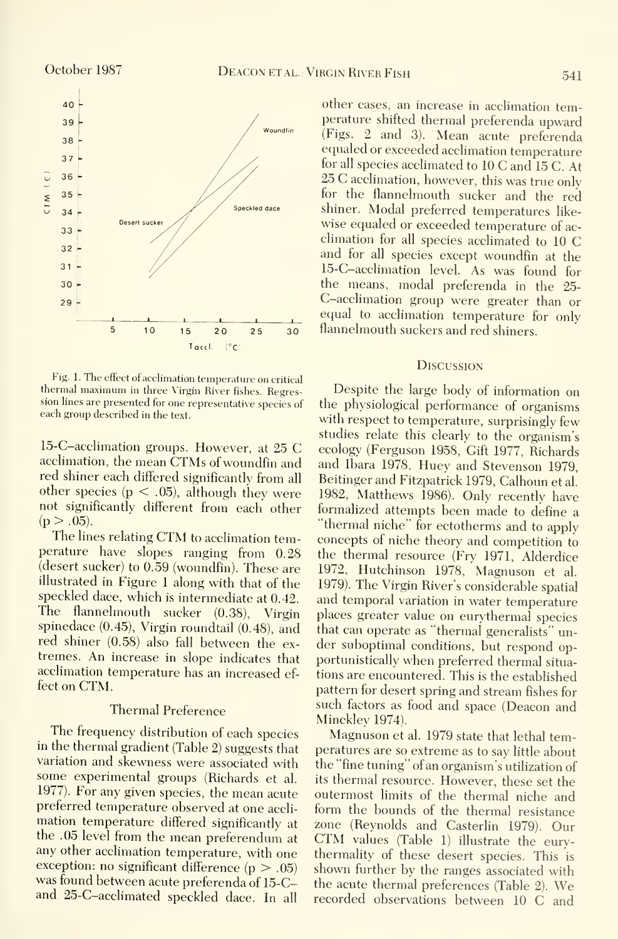

Fig. 1. The effect of acclimation temperature on critical thermal maximum in three Virgin River fishes. Regression lines are presented for one representative species of each group described in the text.

15-C-acclimation groups. However, at 25 C acclimation, the mean CTMs of woundfin and red shiner each differed significantly from all other species ( $p < .05$ ), although they were not significantly different from each other  $(p > .05)$ .

The lines relating CTM to acclimation temperature have slopes ranging from 0.28 (desert sucker) to 0.59 (woundfin). These are illustrated in Figure <sup>1</sup> along with that of the speckled dace, which is intermediate at 0.42. The flannelmouth sucker (0.38), Virgin spinedace (0.45), Virgin roundtail (0.48), and red shiner (0.58) also fall between the ex tremes. An increase in slope indicates that acclimation temperature has an increased ef fect on CTM.

#### Thermal Preference

The frequency distribution of each species in the thermal gradient (Table 2) suggests that variation and skewness were associated with some experimental groups (Richards et al. 1977). For any given species, the mean acute preferred temperature observed at one accli mation temperature differed significantly at the .05 level from the mean preferendum at any other acclimation temperature, with one exception: no significant difference  $(p > .05)$ was found between acute preferenda of 15-Cand 25-C-acclimated speckled dace. In all

other cases, an increase in acclimation temperature shifted thermal preferenda upward (Figs. 2 and 3). Mean acute preferenda equaled or exceeded acclimation temperature for all species acclimated to <sup>10</sup> C and <sup>15</sup> C. At <sup>25</sup> C acclimation, however, this was true only for the flannelmouth sucker and the red shiner. Modal preferred temperatures like wise equaled or exceeded temperature of ac climation for all species acclimated to 10 C and for all species except woundfin at the 15-C-acclimation level. As was found for the means, modal preferenda in the 25- C-acclimation group were greater than or equal to acclimation temperature for only flannelmouth suckers and red shiners.

#### **DISCUSSION**

Despite the large body of information on the physiological performance of organisms with respect to temperature, surprisingly few studies relate this clearly to the organism's ecology (Ferguson 1958, Gift 1977, Richards and Ibara 1978, Huey and Stevenson 1979, Reitinger and Fitzpatrick 1979, Calhoun et al. 1982, Matthews 1986). Only recently have formalized attempts been made to define a "thermal niche" for ectotherms and to apply concepts of niche theory and competition to the thermal resource (Fry 1971, Alderdice 1972, Hutchinson 1978, Magnuson et al. 1979). The Virgin River's considerable spatial and temporal variation in water temperature places greater value on eurythermal species that can operate as "thermal generalists" un der suboptimal conditions, but respond opportunistically when preferred thermal situa tions are encountered. This is the established pattern for desert spring and stream fishes for such factors as food and space (Deacon and Minckley 1974).

Magnuson et al. 1979 state that lethal temperatures are so extreme as to say little about the "fine tuning" of an organism's utilization of its thermal resource. However, these set the outermost limits of the thermal niche and form the bounds of the thermal resistance zone (Reynolds and Casterlin 1979). Our CTM values (Table 1) illustrate the eurythermality of these desert species. This is shown further by the ranges associated with the acute thermal preferences (Table 2). We recorded observations between <sup>10</sup> C and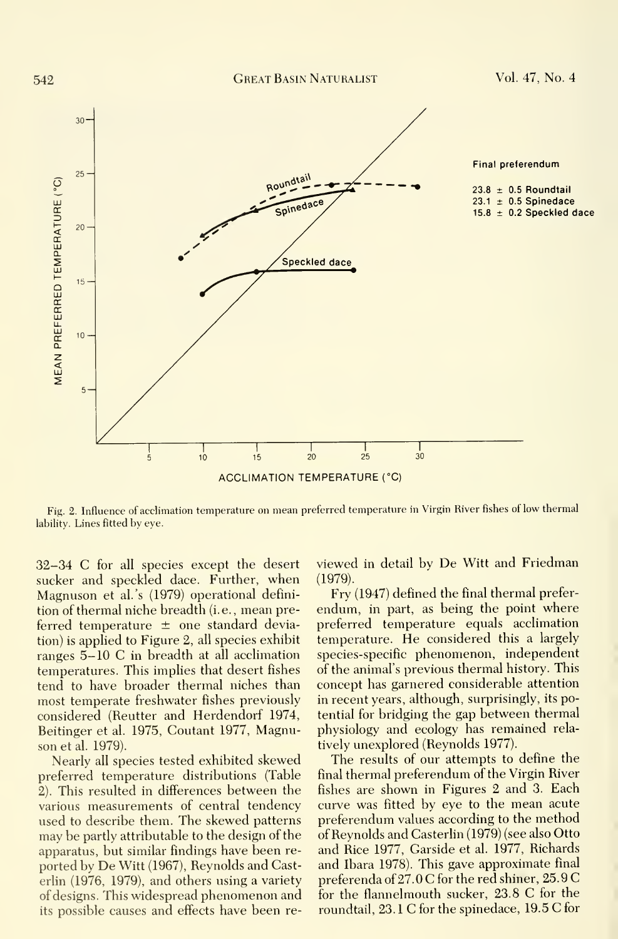

Fig. 2. Influence of acclimation temperature on mean preferred temperature in Virgin River fishes of low thermal lability. Lines fitted by eye.

32-34 C for all species except the desert sucker and speckled dace. Further, when Magnuson et al.'s (1979) operational defini tion of thermal niche breadth (i.e., mean preferred temperature  $\pm$  one standard deviation) is applied to Figure 2, all species exhibit ranges 5-10 C in breadth at all acclimation temperatures. This implies that desert fishes tend to have broader thermal niches than most temperate freshwater fishes previously considered (Reutter and Herdendorf 1974, Beitinger et al. 1975, Coutant 1977, Magnuson et al. 1979).

Nearly all species tested exhibited skewed preferred temperature distributions (Table 2). This resulted in differences between the various measurements of central tendency used to describe them. The skewed patterns may be partly attributable to the design of the apparatus, but similar findings have been re ported by De Witt (1967), Reynolds and Casterlin (1976, 1979), and others using a variety of designs. This widespread phenomenon and its possible causes and effects have been reviewed in detail by De Witt and Friedman (1979).

Fry (1947) defined the final thermal preferendum, in part, as being the point where preferred temperature equals acclimation temperature. He considered this <sup>a</sup> largely species-specific phenomenon, independent of the animal's previous thermal history. This concept has garnered considerable attention in recent years, although, surprisingly, its potential for bridging the gap between thermal physiology and ecology has remained rela tively unexplored (Reynolds 1977).

The results of our attempts to define the final thermal preferendum of the Virgin River fishes are shown in Figures 2 and 3. Each curve was fitted by eye to the mean acute preferendum values according to the method of Reynolds and Casterlin (1979) (see also Otto and Rice 1977, Garside et al. 1977, Richards and Ibara 1978). This gave approximate final preferenda of 27.0 C for the red shiner, 25.9 G for the flannelmouth sucker, 23.8 G for the roundtail, 23. <sup>1</sup> G for the spinedace, 19.5 G for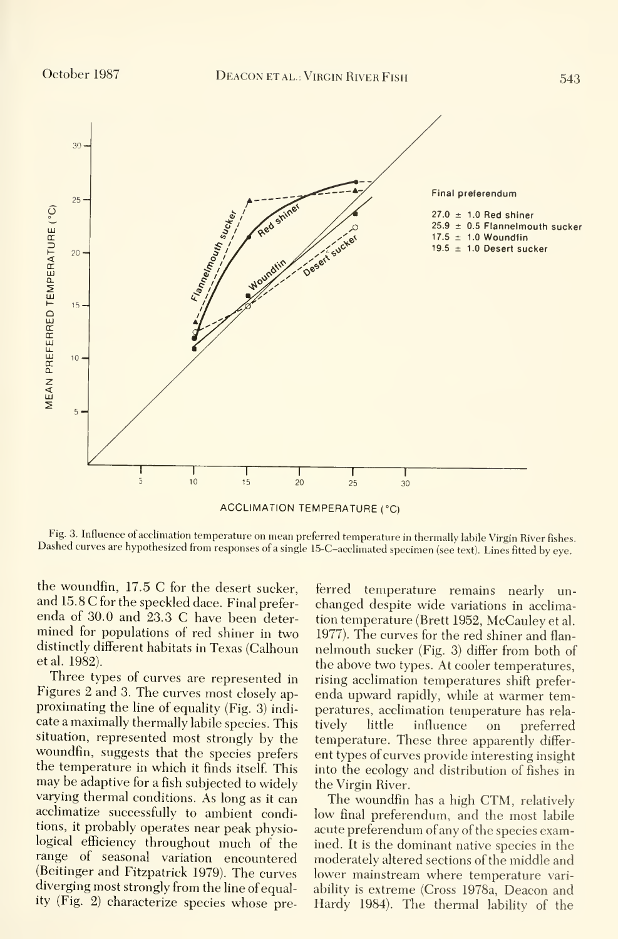

**ACCLIMATION TEMPERATURE (°C)** 

Fig. 3. Influence of acclimation temperature on mean preferred temperature in thermally labile Virgin River fishes. Dashed curves are hypothesized from responses of a single 15-C-acclimated specimen (see text). Lines fitted by eye.

the woundfin, 17.5 C for the desert sucker, and 15.8 C for the speckled dace. Final preferenda of 30.0 and 23.3 C have been determined for populations of red shiner in two distinctly different habitats in Texas (Calhoun et al. 1982).

Three types of curves are represented in Figures 2 and 3. The curves most closely approximating the line of equality (Fig. 3) indicate a maximally thermally labile species. This situation, represented most strongly by the woundfin, suggests that the species prefers the temperature in which it finds itself. This may be adaptive for a fish subjected to widely varying thermal conditions. As long as it can acclimatize successfully to ambient conditions, it probably operates near peak physiological efficiency throughout much of the range of seasonal variation encountered (Beitinger and Fitzpatrick 1979). The curves diverging most strongly from the line of equality (Fig. 2) characterize species whose pre-

ferred temperature remains nearly unchanged despite wide variations in acclimation temperature (Brett 1952, McCauley et al. 1977). The curves for the red shiner and flannelmouth sucker (Fig. 3) differ from both of the above two types. At cooler temperatures, rising acclimation temperatures shift preferenda upward rapidly, while at warmer temperatures, acclimation temperature has relatively little influence <sub>on</sub> preferred temperature. These three apparently different types of curves provide interesting insight into the ecology and distribution of fishes in the Virgin River.

The woundfin has a high CTM, relatively low final preferendum, and the most labile acute preferendum of any of the species examined. It is the dominant native species in the moderately altered sections of the middle and lower mainstream where temperature variability is extreme (Cross 1978a, Deacon and Hardy 1984). The thermal lability of the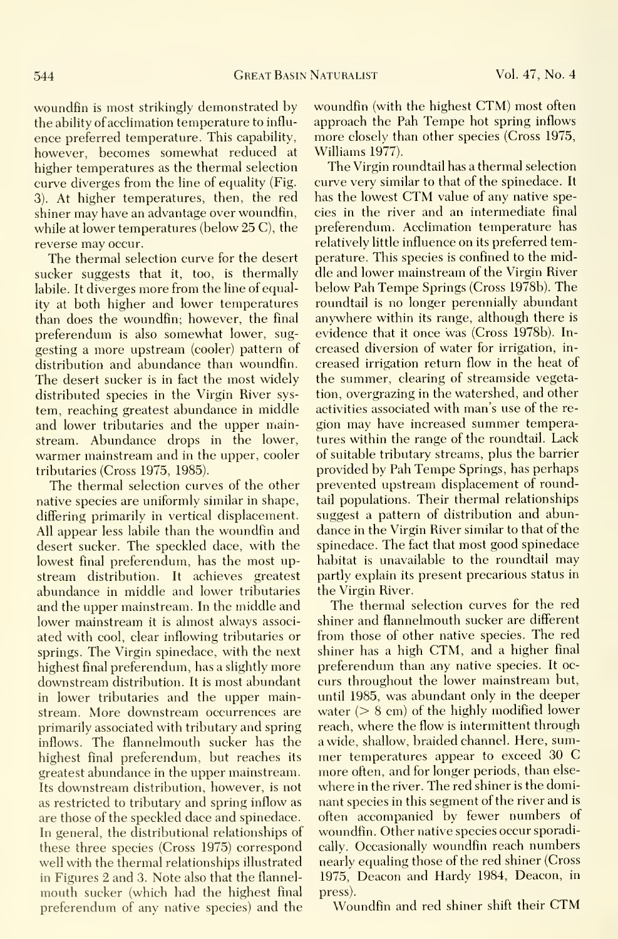woundfin is most strikingly demonstrated by the ability of acclimation temperature to influ ence preferred temperature. This capability, however, becomes somewhat reduced at higher temperatures as the thermal selection curve diverges from the line of equality (Fig. 3). At higher temperatures, then, the red shiner may have an advantage over woundfin, while at lower temperatures (below 25 C), the reverse may occur.

The thermal selection curve for the desert sucker suggests that it, too, is thermally labile. It diverges more from the line of equality at both higher and lower temperatures than does the woundfin; however, the final preferendum is also somewhat lower, sug gesting a more upstream (cooler) pattern of distribution and abundance than woundfin. The desert sucker is in fact the most widely distributed species in the Virgin River sys tem, reaching greatest abundance in middle and lower tributaries and the upper mainstream. Abundance drops in the lower, warmer mainstream and in the upper, cooler tributaries (Cross 1975, 1985).

The thermal selection curves of the other native species are uniformly similar in shape, differing primarily in vertical displacement. All appear less labile than the woundfin and desert sucker. The speckled dace, with the lowest final preferendum, has the most up stream distribution. It achieves greatest abundance in middle and lower tributaries and the upper mainstream. In the middle and lower mainstream it is almost always associated with cool, clear inflowing tributaries or springs. The Virgin spinedace, with the next highest final preferendum, has a slightly more downstream distribution. It is most abundant in lower tributaries and the upper mainstream. More downstream occurrences are primarily associated with tributary and spring inflows. The flannelmouth sucker has the highest final preferendum, but reaches its greatest abundance in the upper mainstream. Its downstream distribution, however, is not as restricted to tributary and spring inflow as are those of the speckled dace and spinedace. In general, the distributional relationships of these three species (Cross 1975) correspond well with the thermal relationships illustrated in Figures 2 and 3. Note also that the flannel mouth sucker (which had the highest final preferendum of any native species) and the

woundfin (with the highest CTM) most often approach the Pah Tempe hot spring inflows more closely than other species (Cross 1975, Williams 1977).

The Virgin roundtail has a thermal selection curve very similar to that of the spinedace. It has the lowest CTM value of any native species in the river and an intermediate final preferendum. Acclimation temperature has relatively little influence on its preferred temperature. This species is confined to the middle and lower mainstream of the Virgin River below Pah Tempe Springs (Cross 1978b). The roundtail is no longer perennially abundant anywhere within its range, although there is evidence that it once was (Cross 1978b). In creased diversion of water for irrigation, in creased irrigation return flow in the heat of the summer, clearing of streamside vegetation, overgrazing in the watershed, and other activities associated with man's use of the re gion may have increased summer temperatures within the range of the roundtail. Lack of suitable tributary streams, plus the barrier provided by Pah Tempe Springs, has perhaps prevented upstream displacement of roundtail populations. Their thermal relationships suggest a pattern of distribution and abundance in the Virgin River similar to that of the spinedace. The fact that most good spinedace habitat is unavailable to the roundtail may partly explain its present precarious status in the Virgin River.

The thermal selection curves for the red shiner and flannelmouth sucker are different from those of other native species. The red shiner has <sup>a</sup> high CTM, and <sup>a</sup> higher final preferendum than any native species. It oc curs throughout the lower mainstream but, until 1985, was abundant only in the deeper water  $(> 8 \text{ cm})$  of the highly modified lower reach, where the flow is intermittent through a wide, shallow, braided channel. Here, sum mer temperatures appear to exceed <sup>30</sup> C more often, and for longer periods, than else where in the river. The red shiner is the dominant species in this segment of the river and is often accompanied by fewer numbers of woundfin. Other native species occur sporadically. Occasionally woundfin reach numbers nearly equaling those of the red shiner (Cross 1975, Deacon and Hardy 1984, Deacon, in press).

Woundfin and red shiner shift their CTM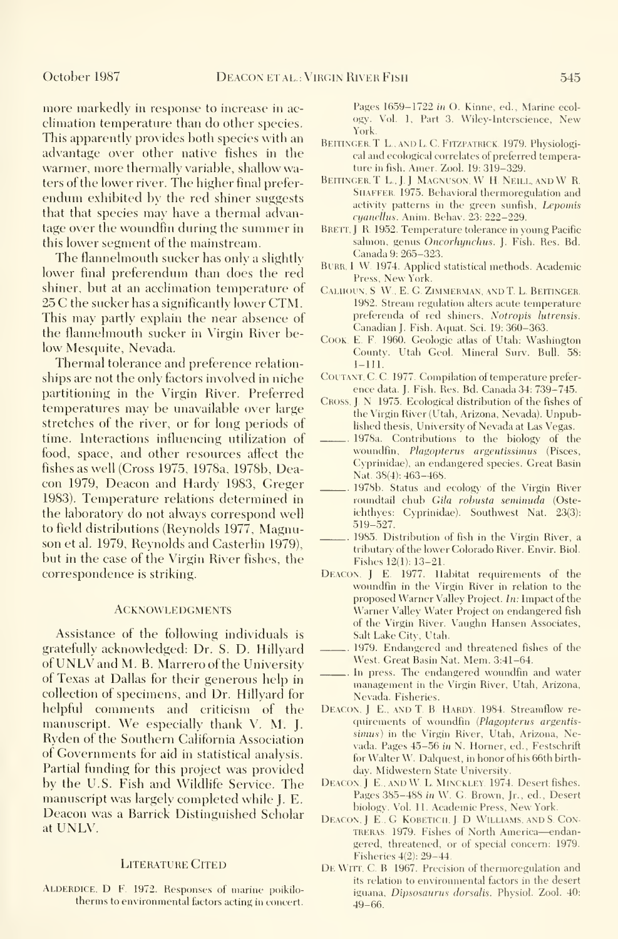more markedly in response to increase in ac climation temperature than do other species. This apparently provides both species with an advantage over other native fishes in the warmer, more thermally variable, shallow waters of the lower river. The higher final preferendum exhibited by the red shiner suggests that that species may have a thermal advantage over the woundfin during the summer in this lower segment of the mainstream.

The flannelmouth sucker has only a slightly lower final preferendum than does the red shiner, but at an acclimation temperature of 25 C the sucker has <sup>a</sup> significantly lower CTM. This may partly explain the near absence of the flannelmouth sucker in Virgin River below Mesquite, Nevada.

Thermal tolerance and preference relation ships are not the only factors involved in niche partitioning in the Virgin River. Preferred temperatures may be unavailable over large stretches of the river, or for long periods of time. Interactions influencing utilization of food, space, and other resources affect the fishes as well (Cross 1975, 1978a, 1978b, Deacon 1979, Deacon and Hardy 1983, Greger 1983). Temperature relations determined in the laboratory do not always correspond well to field distributions (Reynolds 1977, Magnuson et al. 1979, Reynolds and Casterlin 1979), but in the case of the Virgin River fishes, the correspondence is striking.

#### **ACKNOWLEDGMENTS**

Assistance of the following individuals is gratefully acknowledged: Dr. S. D. Hillyard of UNLV and M. B. Marrero of the University of Texas at Dallas for their generous help in collection of specimens, and Dr. Hillyard for helpful comments and criticism of the manuscript. We especially thank V. M. J. Ryden of the Southern California Association of Governments for aid in statistical analysis. Partial funding for this project was provided by the U.S. Fish and Wildlife Service. The manuscript was largely completed while J. E. Deacon was a Barrick Distinguished Scholar at UNLV.

#### LITERATURE CITED

ALDERDICE, D. F. 1972. Responses of marine poikilothernis to environmental factors acting in concert.

Pages 1659-1722 in O. Kinne, ed.. Marine ecol ogy. Vol. 1, Part 3. Wilev-lnterscience, New York.

- BEITINGER, T. L., AND L. C. FITZPATRICK. 1979. Physiological and ecological correlates of preferred temperature in fish. Amer. Zool. 19: 319-329.
- BEITINGER, T. L., J. J. MAGNUSON, W. H. NEILL, AND W. R. SHAFFER. 1975. Behavioral thermoregulation and activity patterns in the green sunfish, Lepomis cyanellus. Anim. Behav. 23: 222-229.
- BRETT, J. R. 1952. Temperature tolerance in young Pacific salmon, genus Oncorhynchus. J. Fish. Res. Bd. Canada 9:265-323.
- BURR, I W. 1974. Applied statistical methods. Academic Press, New York.
- CALHOUN, S.W., E. G. ZIMMERMAN, AND T. L. BEITINGER. 1982. Stream regulation alters acute temperature preferenda of red shiners, Notropis lutrensis. Canadian]. Fish. Aquat. Sci. 19:360-363.
- COOK. E. F. 1960. Geologic atlas of Utah: Washington County. Utah Geol. Mineral Surv. Bull. 58: 1-111.
- COUTANT, C. C. 1977. Compilation of temperature preference data. J. Fish. Res. Bd. Canada 34: 739-745.
- CROSS, J. N 1975. Ecological distribution of the fishes of the Virgin River (Utah, Arizona, Nevada). Unpublished thesis. University of Nevada at Las Vegas.
- 1978a. Contributions to the biology of the woundfin, *Plagopterus argentissimus* (Pisces, Cyprinidae), an endangered species. Great Basin Nat. 38(4): 463-468.
- 1978b. Status and ecology of the Virgin River roundtail chub Gila robusta seminuda (Osteichthves: Cvprinidae). Southwest Nat. 23(3): 519-527.
- 1985. Distribution of fish in the Virgin River, a tributary of the lower Colorado River. Envir. Biol. Fishes 12(1): 13-21.
- Deacon. <sup>J</sup> E. 1977. Habitat requirements of the woundfin in the Virgin River in relation to the proposed Warner Valley Project. In: Impact of the Warner Valley Water Project on endangered fish of the Virgin River. Vaughn Hansen Associates, Salt Lake City, Utah.
- 1979. Endangered and threatened fishes of the West. Great Basin Nat. Mem. 3:41-64.
- .. In press. The endangered woundfin and water management in the Virgin River, Utah, Arizona, Nevada. Fisheries.
- DEACON, J E., AND T. B. HARDY. 1984. Streamflow requirements of woundfin {Plagopterus argentis simus) in the Virgin River, Utah, Arizona, Nevada. Pages 45-56 in N. Horner, ed.. Festschrift for Walter W. Dalquest, in honor of his 66th birth day. Midwestern State University.
- DEACON, J. E., AND W. L. MINCKLEY. 1974. Desert fishes. Pages 385-488 in W. G. Brown, Jr., ed.. Desert biology. Vol. 11. Academic Press, New York.
- DEACON, J E., G KOBETICH, J. D WILLIAMS, AND S. CONtreras. 1979. Fishes of North America—endangered, threatened, or of special concern: 1979. Fisheries 4(2): 29-44.
- DE WITT. C. B 1967. Precision of thermoregulation and its relation to environmental factors in the desert iguana, Dipsosaurus dorsalis. Physiol. Zool. 40: 49-66.